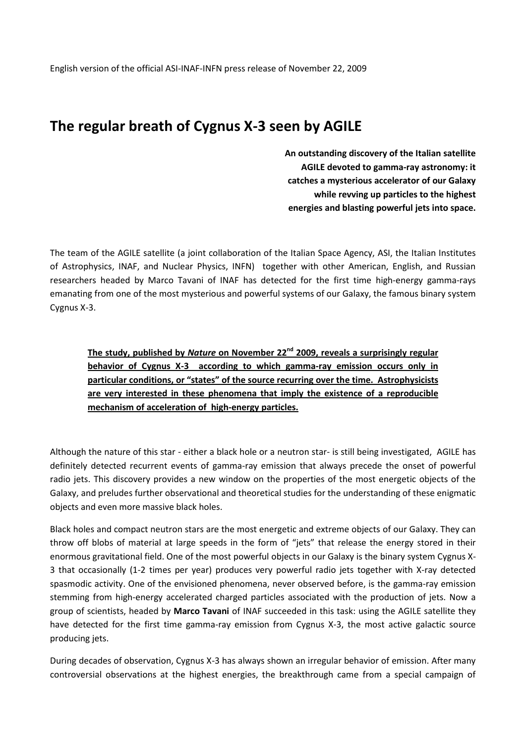## **The regular breath of Cygnus X-3 seen by AGILE**

**An outstanding discovery of the Italian satellite AGILE devoted to gamma-ray astronomy: it catches a mysterious accelerator of our Galaxy while revving up particles to the highest energies and blasting powerful jets into space.**

The team of the AGILE satellite (a joint collaboration of the Italian Space Agency, ASI, the Italian Institutes of Astrophysics, INAF, and Nuclear Physics, INFN) together with other American, English, and Russian researchers headed by Marco Tavani of INAF has detected for the first time high-energy gamma-rays emanating from one of the most mysterious and powerful systems of our Galaxy, the famous binary system Cygnus X-3.

**The study, published by** *Nature* **on November 22nd 2009, reveals a surprisingly regular behavior of Cygnus X-3 according to which gamma-ray emission occurs only in particular conditions, or "states" of the source recurring over the time. Astrophysicists are very interested in these phenomena that imply the existence of a reproducible mechanism of acceleration of high-energy particles.**

Although the nature of this star - either a black hole or a neutron star- is still being investigated, AGILE has definitely detected recurrent events of gamma-ray emission that always precede the onset of powerful radio jets. This discovery provides a new window on the properties of the most energetic objects of the Galaxy, and preludes further observational and theoretical studies for the understanding of these enigmatic objects and even more massive black holes.

Black holes and compact neutron stars are the most energetic and extreme objects of our Galaxy. They can throw off blobs of material at large speeds in the form of "jets" that release the energy stored in their enormous gravitational field. One of the most powerful objects in our Galaxy is the binary system Cygnus X-3 that occasionally (1-2 times per year) produces very powerful radio jets together with X-ray detected spasmodic activity. One of the envisioned phenomena, never observed before, is the gamma-ray emission stemming from high-energy accelerated charged particles associated with the production of jets. Now a group of scientists, headed by **Marco Tavani** of INAF succeeded in this task: using the AGILE satellite they have detected for the first time gamma-ray emission from Cygnus X-3, the most active galactic source producing jets.

During decades of observation, Cygnus X-3 has always shown an irregular behavior of emission. After many controversial observations at the highest energies, the breakthrough came from a special campaign of